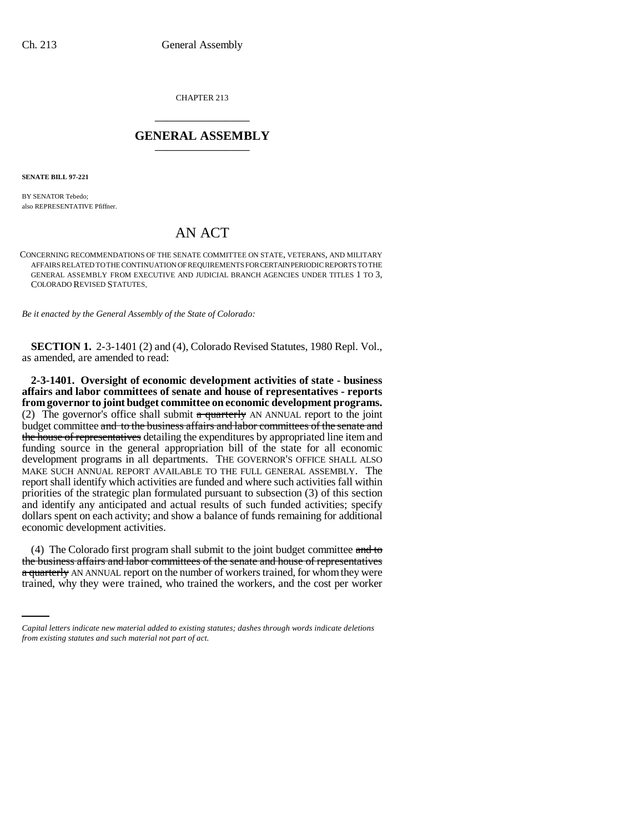CHAPTER 213 \_\_\_\_\_\_\_\_\_\_\_\_\_\_\_

## **GENERAL ASSEMBLY** \_\_\_\_\_\_\_\_\_\_\_\_\_\_\_

**SENATE BILL 97-221**

BY SENATOR Tebedo; also REPRESENTATIVE Pfiffner.

## AN ACT

CONCERNING RECOMMENDATIONS OF THE SENATE COMMITTEE ON STATE, VETERANS, AND MILITARY AFFAIRS RELATED TO THE CONTINUATION OF REQUIREMENTS FOR CERTAIN PERIODIC REPORTS TO THE GENERAL ASSEMBLY FROM EXECUTIVE AND JUDICIAL BRANCH AGENCIES UNDER TITLES 1 TO 3, COLORADO REVISED STATUTES.

*Be it enacted by the General Assembly of the State of Colorado:*

**SECTION 1.** 2-3-1401 (2) and (4), Colorado Revised Statutes, 1980 Repl. Vol., as amended, are amended to read:

**2-3-1401. Oversight of economic development activities of state - business affairs and labor committees of senate and house of representatives - reports from governor to joint budget committee on economic development programs.** (2) The governor's office shall submit  $a$  quarterly AN ANNUAL report to the joint budget committee and to the business affairs and labor committees of the senate and the house of representatives detailing the expenditures by appropriated line item and funding source in the general appropriation bill of the state for all economic development programs in all departments. THE GOVERNOR'S OFFICE SHALL ALSO MAKE SUCH ANNUAL REPORT AVAILABLE TO THE FULL GENERAL ASSEMBLY. The report shall identify which activities are funded and where such activities fall within priorities of the strategic plan formulated pursuant to subsection (3) of this section and identify any anticipated and actual results of such funded activities; specify dollars spent on each activity; and show a balance of funds remaining for additional economic development activities.

the business affairs and labor committees of the senate and house of representatives (4) The Colorado first program shall submit to the joint budget committee and to a quarterly AN ANNUAL report on the number of workers trained, for whom they were trained, why they were trained, who trained the workers, and the cost per worker

*Capital letters indicate new material added to existing statutes; dashes through words indicate deletions from existing statutes and such material not part of act.*